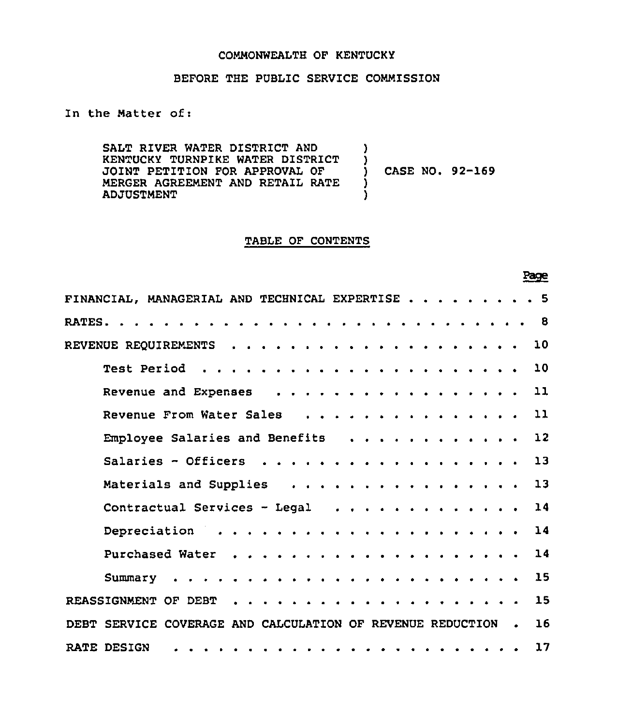## COMMONWEALTH OF KENTUCKY

## BEFORE THE PUBLIC SERVICE COMMISSION

In the Matter of:

SALT RIVER WATER DISTRICT AND KENTUCKY TURNPIKE WATER DISTRICT JOINT PETITION FOR APPROVAL OF MERGER AGREEMENT AND RETAIL RATE ADJUSTMENT ) )<br>) ) CASE NO. 92-169 ) )

### TABLE OF CONTENTS

Page

| FINANCIAL, MANAGERIAL AND TECHNICAL EXPERTISE 5                  |
|------------------------------------------------------------------|
| -8                                                               |
| 10                                                               |
| 10                                                               |
| Revenue and Expenses<br>$\mathbf{11}$                            |
| Revenue From Water Sales<br>$\mathbf{11}$                        |
| 12<br>Employee Salaries and Benefits                             |
| Salaries - Officers<br>13                                        |
| Materials and Supplies<br>13                                     |
| 14<br>Contractual Services - Legal                               |
| 14                                                               |
| 14                                                               |
| 15                                                               |
| 15                                                               |
| 16<br>DEBT SERVICE COVERAGE AND CALCULATION OF REVENUE REDUCTION |
| 17<br>RATE DESIGN                                                |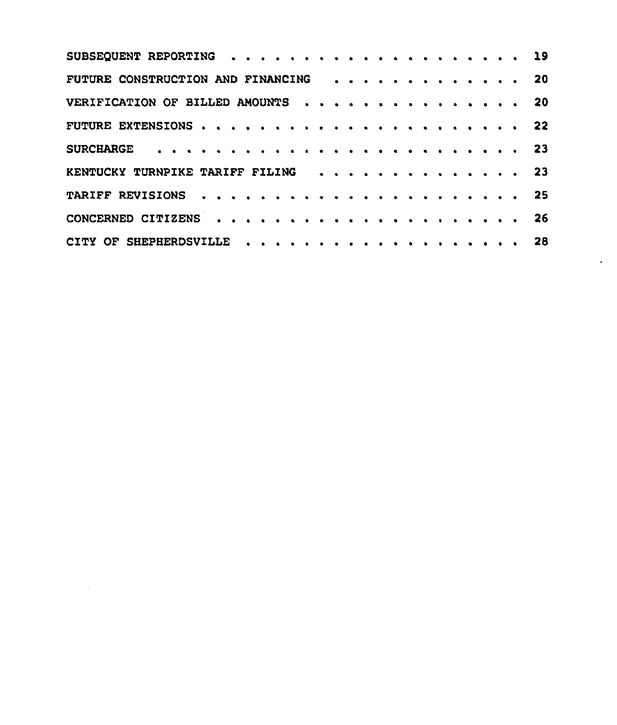| FUTURE CONSTRUCTION AND FINANCING 20 |  |  |  |  |  |  |  |  |  |  |  |  |
|--------------------------------------|--|--|--|--|--|--|--|--|--|--|--|--|
| VERIFICATION OF BILLED AMOUNTS 20    |  |  |  |  |  |  |  |  |  |  |  |  |
|                                      |  |  |  |  |  |  |  |  |  |  |  |  |
|                                      |  |  |  |  |  |  |  |  |  |  |  |  |
| KENTUCKY TURNPIKE TARIFF FILING 23   |  |  |  |  |  |  |  |  |  |  |  |  |
|                                      |  |  |  |  |  |  |  |  |  |  |  |  |
|                                      |  |  |  |  |  |  |  |  |  |  |  |  |
|                                      |  |  |  |  |  |  |  |  |  |  |  |  |

 $\label{eq:2.1} \frac{1}{\sqrt{2}}\int_{\mathbb{R}^3}\frac{1}{\sqrt{2}}\left(\frac{1}{\sqrt{2}}\right)^2\frac{1}{\sqrt{2}}\left(\frac{1}{\sqrt{2}}\right)^2\frac{1}{\sqrt{2}}\left(\frac{1}{\sqrt{2}}\right)^2.$ 

 $\bullet$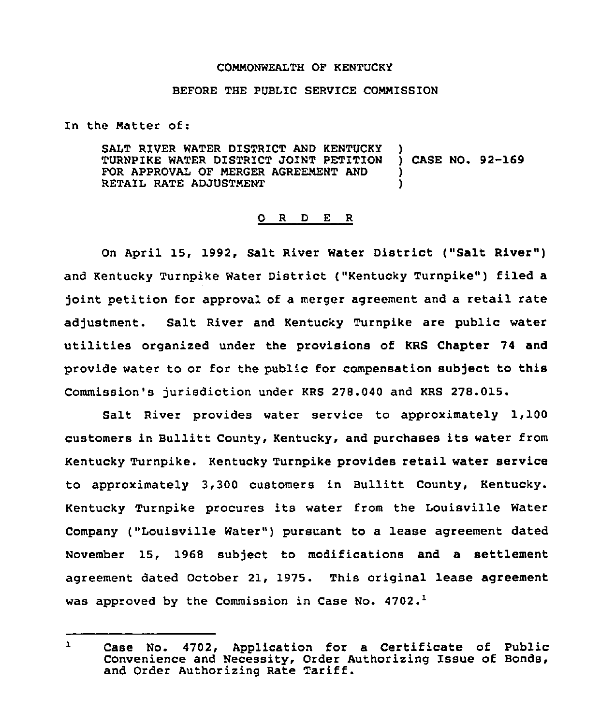### COMMONWEALTH OF KENTUCKY

#### BEFORE THE PUBLIC SERVICE CONNISSION

In the Natter of:

SALT RIVER WATER DISTRICT AND KENTUCKY )<br>TURNPIKE WATER DISTRICT JOINT PETITION ) CASE NO. 92-169 TURNPIKE WATER DISTRICT JOINT PETITION FOR APPROVAL OF MERGER AGREEMENT AND RETAIL RATE ADJUSTMENT

#### O R D E R

On April 15, 1992, Salt River Water District ("Salt River") and Kentucky Turnpike Water District ("Kentucky Turnpike") filed a joint petition for approval of a merger agreement and a retail rate adjustment. Salt River and Kentucky Turnpike are public water utilities organized under the provisions of KRS Chapter 74 and provide water to or for the public for compensation subject to this Commission's jurisdiction under KRS 278.040 and KRS 278.015.

Salt River provides water service to approximately 1,100 customers in Bullitt County, Kentucky, and purchases its water from Kentucky Turnpike. Kentucky Turnpike provides retail water service to approximately 3,300 customers in Bullitt County, Kentucky. Kentucky Turnpike procures its water from the Louisville Water Company ("Louisville Water") pursuant to a lease agreement dated November 15, 1968 subject to modifications and a settlement agreement dated October 21, 1975. This original lease agreement was approved by the Commission in Case No.  $4702.^1$ 

 $\mathbf{1}$ Case No. 4702, Application for a Certificate of Public Convenience and Necessity, Order Authorizing Issue of Bonds, and Order Authorizing Rate Tariff.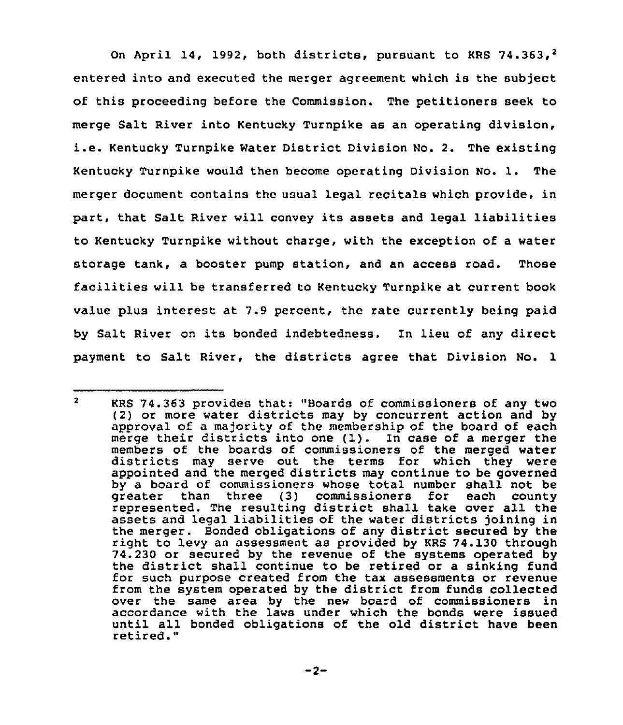On April 14, 1992, both districts, pursuant to KRS 74.363,<sup>2</sup> entered into and executed the merger agreement which is the subject of this proceeding before the Commission. The petitioners seek to merge Salt River into Kentucky Turnpike as an operating division, i.e. Kentucky Turnpike Water District Division No. 2. The existing Kentucky Turnpike would then become operating Division No. 1. The merger document contains the usual legal recitals which provide, in part, that Salt River will convey its assets and legal liabilities to Kentucky Turnpike without charge, with the exception of a water storage tank, a booster pump station, and an access road. Those facilities will be transferred to Kentucky Turnpike at current book value plus interest at 7.9 percent, the rate currently being paid by Salt River on its bonded indebtedness. In lieu of any direct payment to Salt River, the districts agree that Division No. 1

 $\overline{2}$ KRS 74.363 provides that; "Boards of commissioners of any two (2) or more water districts may by concurrent action and by approval of a majority of the membership of the board of each merge their districts into one (1). In case of <sup>a</sup> merger the members of the boards of commissioners of the merged water districts may serve out the terms for which they were appointed and the merged districts may continue to be governed by a board of commissioners whose total number shall not be greater than three {3) commissioners for each county represented. The resulting district shall take over all the assets and legal liabilities of the water districts joining in the merger. Bonded obligations of any district secured by the right to levy an assessment as provided by KRS 74.130 through 74.230 or secured by the revenue of the systems operated by the district shall continue to be retired or <sup>a</sup> sinking fund for such purpose created from the tax assessments or revenue from the system operated by the district from funds collected over the same area by the new board of commissioners in accordance with the laws under which the bonds were issued until all bonded obligations of the old district have been retired."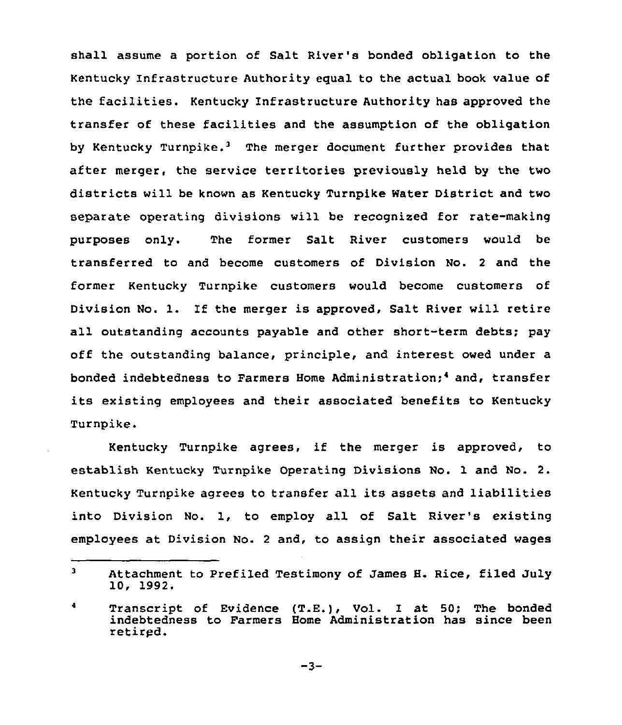shall assume a portion of Salt River's bonded obligation to the Kentucky Infrastructure Authority egual to the actual book value of the facilities. Kentucky Infrastructure Authority has approved the transfer of these facilities and the assumption of the obligation by Kentucky Turnpike.<sup>3</sup> The merger document further provides that after merger, the service territories previously held by the two districts will be known as Kentucky Turnpike Water District and two separate operating divisions will be recognised for rate-making purposes only. The former Salt River customers would be transferred to and become customers of Division No. <sup>2</sup> and the former Kentucky Turnpike customers would become customers of Division No. 1. If the merger is approved, Salt River will retire all outstanding accounts payable and other short-term debts; pay off the outstanding balance, principle, and interest owed under a bonded indebtedness to Farmers Home Administration;<sup>4</sup> and, transfer its existing employees and their associated benefits to Kentucky Turnpike.

Kentucky Turnpike agrees, if the merger is approved, to establish Kentucky Turnpike Operating Divisions No. 1 and No. 2. Kentucky Turnpike agrees to transfer all its assets and liabilities into Division No. 1, to employ all of Salt River's existing employees at Division No. <sup>2</sup> and, to assign their associated wages

 $\mathbf{3}$ Attachment to Prefiled Testimony of James H. Rice, filed July 10, 1992.

 $\blacktriangleleft$ Transcript of Evidence (T.E.), Vol. I at 50; The bonded indebtedness to Farmers Home Administration has since been retired.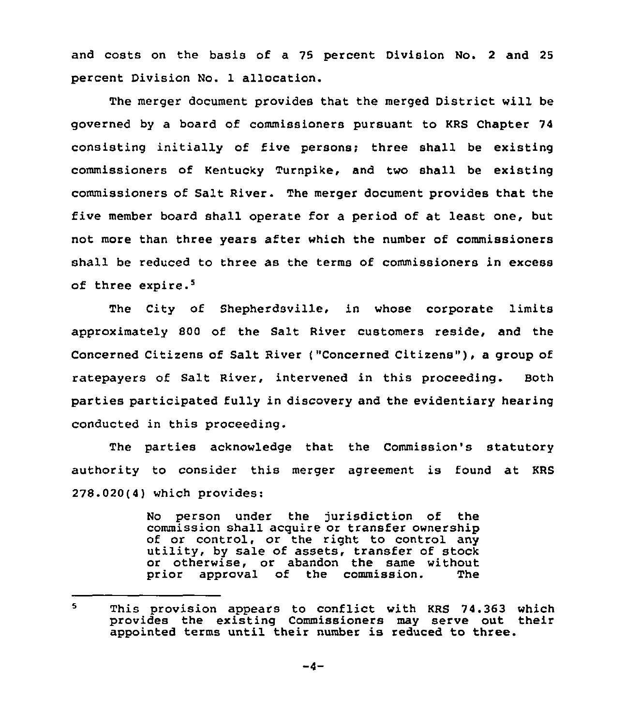and costs on the basis of a 75 percent Division No. 2 and 25 percent Division No. 1 allocation.

The merger document provides that the merged District will be governed by a board of commissioners pursuant to KRS Chapter 74 consisting initially of five persons; three shall be existing commissioners of Kentucky Turnpike, and two shall be existing commissioners of Salt River. The merger document provides that the five member board shall operate for a period of at least one, but not more than three years after which the number of commissioners shall be reduced to three as the terms of commissioners in excess of three expire.<sup>5</sup>

The City of Shepherdsville, in whose corporate limits approximately 800 of the Salt River customers reside, and the Concerned Citizens of Salt River ("Concerned Citizens" ), <sup>a</sup> group of ratepayers of Salt River, intervened in this proceeding. Both parties participated fully in discovery and the evidentiary hearing conducted in this proceeding.

The parties acknowledge that the Commission's statutory authority to consider this merger agreement is found at KRS 278.020(4) which provides:

> No person under the jurisdiction of the commission shall acquire or transfer ownership<br>of or control, or the right to control any utility, by sale of assets, transfer of stock or otherwise, or abandon the same without<br>prior approval of the commission. The prior approval of the commission.

This provision appears to conflict with KRS 74.363 which  $\mathbf{S}$ provides the existing Commissioners may serve out their appointed terms until their number is reduced to three.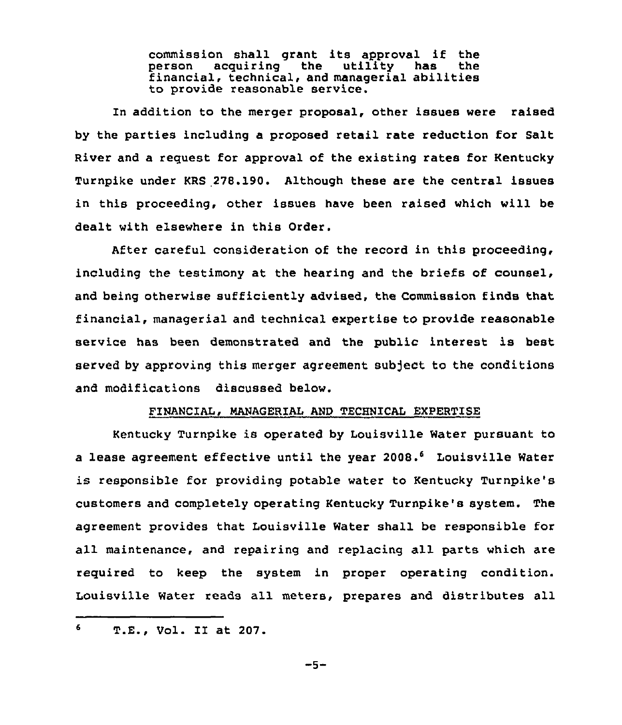commission shall grant its approval if the financial, technical, and managerial abilities to provide reasonable service.

In addition to the merger proposal, other issues were raised by the parties including a proposed retail rate reduction for Salt River and a request for approval of the existing rates for Kentucky Turnpike under KRS 278.190. Although these are the central issues in this proceeding, other issues have been raised which will be dealt with elsewhere in this Order.

After careful consideration of the record in this proceeding, including the testimony at the hearing and the briefs of counsel, and being otherwise sufficiently advised, the Commission finds that financial, managerial and technical expertise to provide reasonable service has been demonstrated and the public interest is best served by approving this merger agreement subject to the conditions and modifications discussed below.

## FINANCIAL, MANAGERIAL AND TECHNICAL EXPERTISE

Kentucky Turnpike is operated by Louisville Water pursuant to a lease agreement effective until the year 2008.<sup>6</sup> Louisville Water is responsible for providing potable water to Kentucky Turnpike's customers and completely operating Kentucky Turnpike's system. The agreement provides that Louisville Water shall be responsible for all maintenance, and repairing and replacing all parts which are required to keep the system in proper operating condition. Louisville Water reads all meters, prepares and distributes all

 $-5-$ 

 $6<sup>1</sup>$ T.E., Vol. II at 207.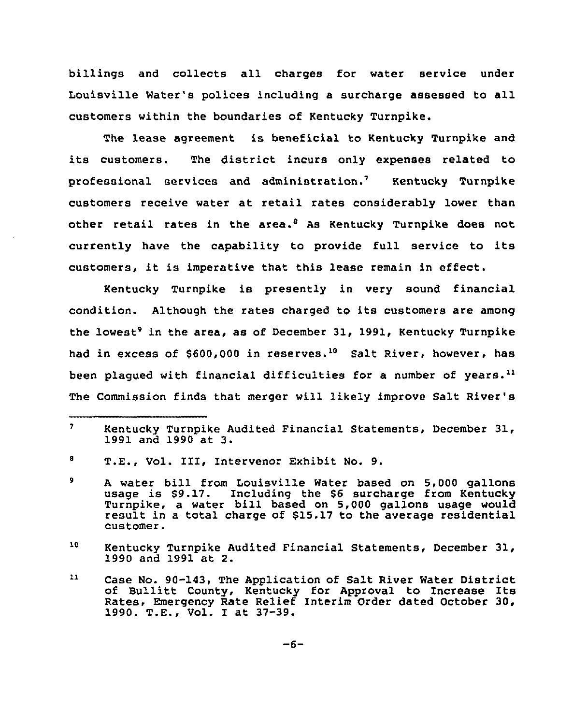billings and collects all charges for water service under Louisville Water's polices including <sup>a</sup> surcharge assessed to all customers within the boundaries of Kentucky Turnpike.

The lease agreement is beneficial to Kentucky Turnpike and its customers. The district incurs only expenses related to professional services and administration.<sup>7</sup> Kentucky Turnpike customers receive water at retail rates considerably lower than other retail rates in the area.<sup>8</sup> As Kentucky Turnpike does not currently have the capability to provide full service to its customers, it is imperative that this lease remain in effect.

Kentucky Turnpike is presently in very sound financial condition. Although the rates charged to its customers are among the lowest<sup>9</sup> in the area, as of December 31, 1991, Kentucky Turnpike had in excess of  $$600,000$  in reserves.<sup>10</sup> Salt River, however, has been plaqued with financial difficulties for a number of years.<sup>11</sup> The Commission finds that merger will likely improve Salt River's

 $\mathbf{r}$ Kentucky Turnpike Audited Financial Statements, December 31, 1991 and 1990 at 3.

 $\pmb{8}$ T.E., Vol. I1I, Intervenor Exhibit No. 9.

A water bill from Louisville Water based on 5,000 gallon  $\bullet$ a water biri from boursville water based on 5,000 galion<br>usage is \$9.17. Including the \$6 surcharge from Kentuck Turnpike, a water bill based on 5,000 gallons usage would result in a total charge of \$15.17 to the average residential customer.

<sup>10</sup> Kentucky Turnpike Audited Financial Statements, December 31, 1990 and 1991 at 2.

 $\mathbf{11}$ Case No. 90-143, The Application of Salt River Water District of Bullitt County, Kentucky for Approval to Increase Its Rates, Emergency Rate Relief Interim Order dated October 30, 1990. T.E., Vol. <sup>I</sup> at 37-39.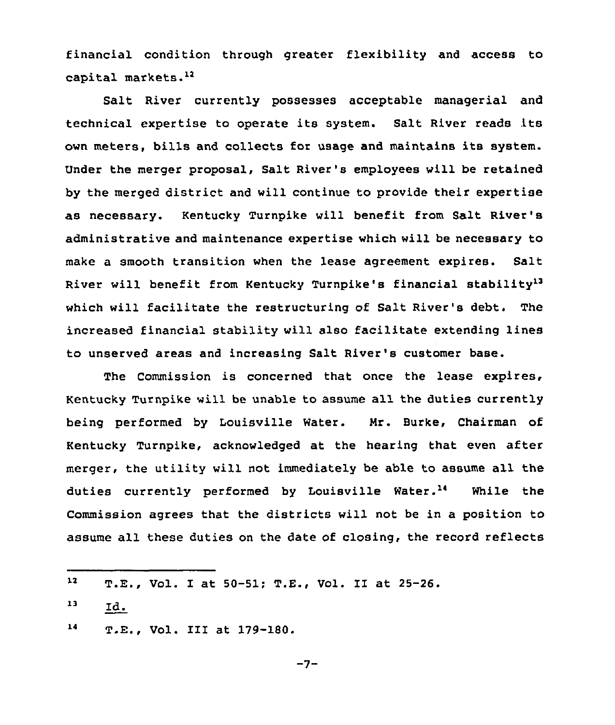financial condition through greater flexibility and access to capital markets.<sup>12</sup>

Salt River currently possesses acceptable managerial and technical expertise to operate its system. Salt River reads its own meters, bills and collects for usage and maintains its system. Under the merger proposal, Salt River's employees will be retained by the merged district and will continue to provide their expertise as necessary. Kentucky Turnpike will benefit from Salt River's administrative and maintenance expertise which will be necessary to make a smooth transition when the lease agreement expires. Salt River will benefit from Kentucky Turnpike's financial stability'3 which will facilitate the restructuring of Salt River's debt. The increased financial stability will also facilitate extending lines to unserved areas and increasing Salt River's customer base.

The Commission is concerned that once the lease expires, Kentucky Turnpike will be unable to assume all the duties currently being performed by Louisville Water. Nr. Burke, Chairman of Kentucky Turnpike, acknowledged at the hearing that even after merger, the utility will not immediately be able to assume all the duties currently performed by Louisville Water.<sup>14</sup> While the Commission agrees that the districts will not be in a position to assume all these duties on the date of closing. the record reflects

- $13$   $Id.$
- $14$ T.E., Vol. III at 179-180.

 $12$ T.E., Vol. I at 50-51; T.E., Vol. II at 25-26.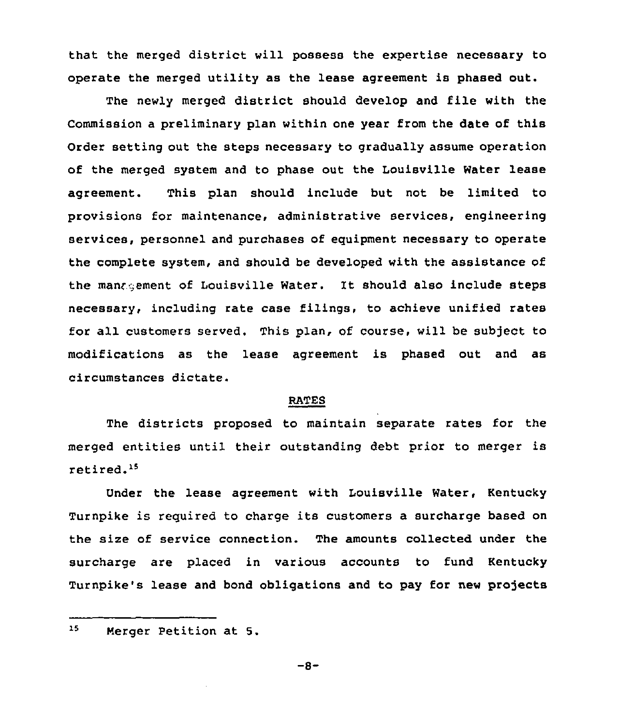that the merged district will possess the expertise necessary to operate the merged utility as the lease agreement is phased out.

The newly merged district should develop and file with the Commission a preliminary plan within one year from the date of this Order setting out the steps necessary to gradually assume operation of the merged system and to phase out the Louisville Water lease agreement. This plan should include but not be limited to provisions for maintenance, administrative services, engineering services, personnel and purchases of equipment necessary to operate the complete system, and should be developed with the assistance of the manngement of Louisville Water. It should also include steps necessary, including rate case filings, to achieve unified rates for all customers served. This plan, of course, will be subject to modifications as the lease agreement is phased out and as circumstances dictate.

#### RATES

The districts proposed to maintain separate rates for the merged entities until their outstanding debt prior to merger is retired.<sup>15</sup>

Under the lease agreement with Louisville Water, Kentucky Turnpike is required to charge its customers <sup>a</sup> surcharge based on the size of service connection. The amounts collected under the surcharge are placed in various accounts to fund Kentucky Turnpike's lease and bond obligations and to pay for new projects

 $-8-$ 

 $15<sub>1</sub>$ Merger Petition at <sup>5</sup>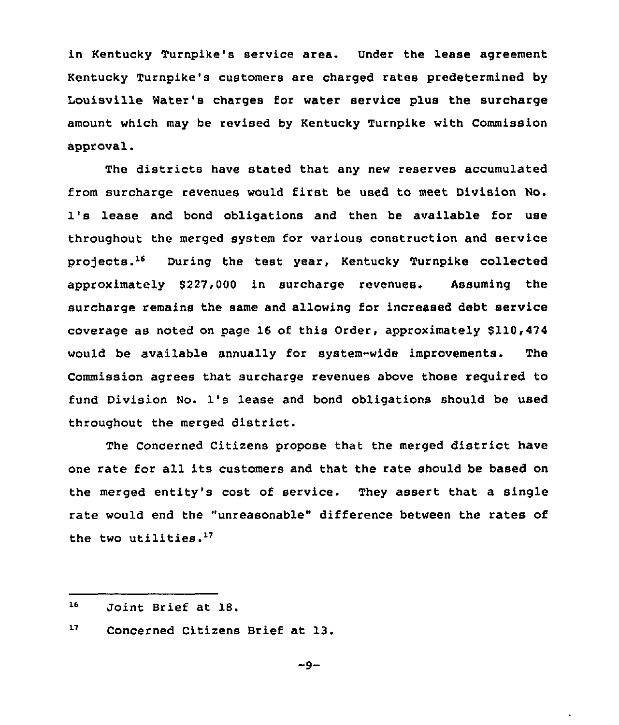in Kentucky Turnpike's service area. Under the lease agreement Kentucky Turnpike's customers are charged rates predetermined by Louisville Water's charges for water service plus the surcharge amount which may be revised by Kentucky Turnpike with Commission approval.

The districts have stated that any new reserves accumulated from surcharge revenues would first be used to meet Division No. 1's lease and bond obligations and then be available for use throughout the merged system for various construction and service projects.<sup>16</sup> During the test year, Kentucky Turnpike collected approximately \$227,000 in surcharge revenues. Assuming the surcharge remains the same and allowing for increased debt service coverage as noted on page 16 of this Order, approximately \$110,474 would be available annually for system-wide improvements. The Commission agrees that surcharge revenues above those required to fund Division No. 1's lease and bond obligations should be used throughout the merged district.

The Concerned Citizens propose that the merged district have one rate for all its customers and that the rate should be based on the merged entity's cost of service. They assert that a single rate would end the "unreasonable" difference between the rates of the two utilities.<sup>17</sup>

- 16 Joint Brief at 18.
- $17<sub>1</sub>$ Concerned Citizens Brief at 13.

 $-9-$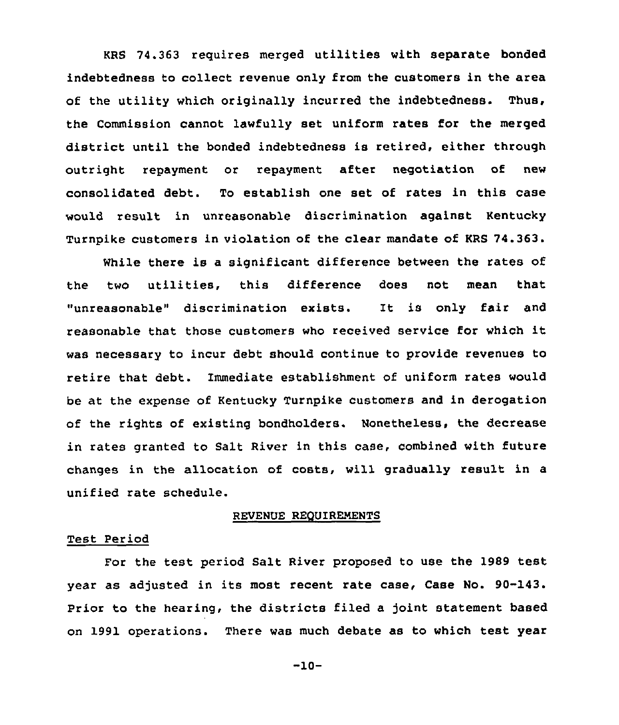KRS 74.363 requires merged utilities with separate bonded indebtedness to collect revenue only from the customers in the area of the utility which originally incurred the indebtedness. Thus, the Commission cannot lawfully set uniform rates for the merged district until the bonded indebtedness is retired, either through outright repayment or repayment after negotiation of new consolidated debt. To establish one set of rates in this case would result in unreasonable discrimination against Kentucky Turnpike customers in violation of the clear mandate of KRS 74.363.

While there is a significant difference between the rates of the two utilities, this difference does not mean that "unreasonable" discrimination exists. It is only fair and reasonable that those customers who received service for which it was necessary to incur debt should continue to provide revenues to retire that debt. Immediate establishment of uniform rates would be at the expense of Kentucky Turnpike customers and in derogation of the rights of existing bondholders. Nonetheless, the decrease in rates granted to Salt River in this case, combined with future changes in the allocation of costs, vill gradually result in a unified rate schedule.

## REVENUE REQUIRENENTS

## Test Period

For the test period Salt River proposed to use the 1989 test year as adjusted in its most recent rate case, Case No. 90-143. Prior to the hearing, the districts filed a joint statement based on 1991 operations. There was much debate as to which test year

-10-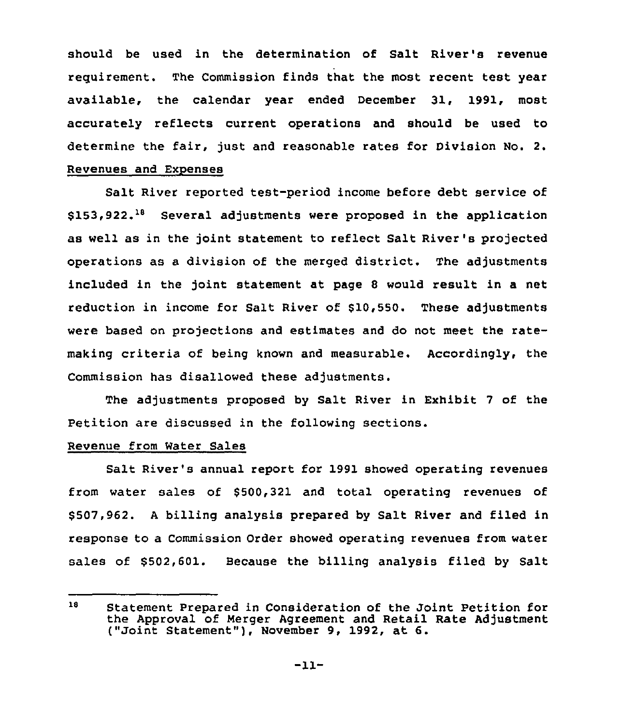should be used in the determination of Salt River's revenue requirement. The Commission finds that the most recent test year available, the calendar year ended December 31, 1991, most accurately reflects current operations and should be used to determine the fair, just and reasonable rates for Division No. 2. Revenues and Expenses

Salt River reported test-period income before debt service of  $$153,922.^{18}$  Several adjustments were proposed in the application as well as in the joint statement to reflect Salt River's projected operations as a division of the merged district. The adjustments included in the joint statement at page <sup>8</sup> would result in a net reduction in income for Salt River of \$10,550. These adjustments were based on projections and estimates and do not meet the ratemaking criteria of being known and measurable. Accordingly, the Commission has disallowed these adjustments.

The adjustments proposed by Salt River in Exhibit 7 of the Petition are discussed in the following sections.

### Revenue from Water Sales

Salt River's annual report for 1991 showed operating revenues from water sales of \$500,321 and total operating revenues of \$ 507,962. <sup>A</sup> billing analysis prepared by Salt River and filed in response to a Commission Order showed operating revenues from water sales of \$502,601. Because the billing analysis filed by Salt

<sup>18</sup> Statement Prepared in Consideration of the Joint Petition for the Approval of Merger Agreement and Retail Rate Adjustment ("Joint Statement" ), November 9, 1992, at 6.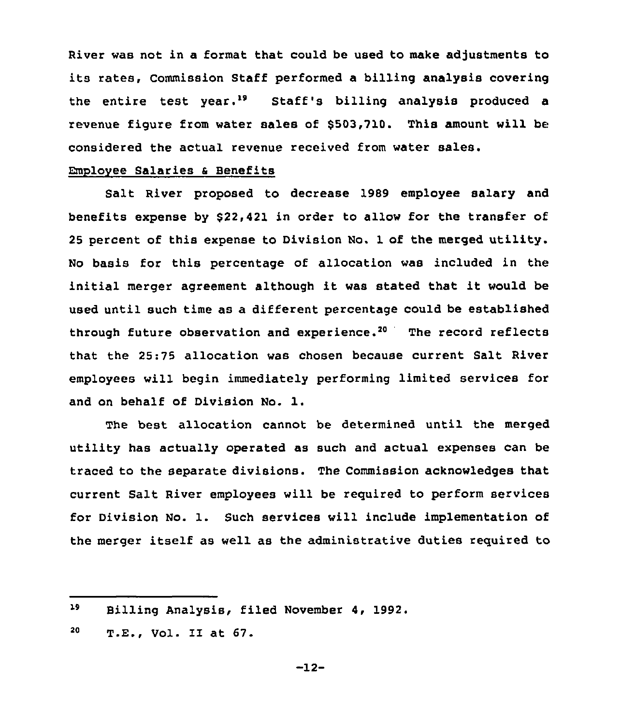River was not in a format that could be used to make adjustments to its rates, Commission Staff performed <sup>a</sup> billing analysis covering the entire test year.<sup>19</sup> Staff's billing analysis produced a revenue figure from water sales of \$503,710. This amount will be considered the actual revenue received from water sales.

## Employee Salaries <sup>a</sup> Benefits

Salt River proposed to decrease 1989 employee salary and benefits expense by \$22,421 in order to allow for the transfer of <sup>25</sup> percent of this expense to Division No. 1 of the merged utility. No basis for this percentage of allocation was included in the initial merger agreement although it was stated that it would be used until such time as a different percentage could be established through future observation and experience.<sup>20</sup> The record reflects that the 25:75 allocation was chosen because current Salt River employees will begin immediately performing limited services for and on behalf of Division No. l.

The best allocation cannot be determined until the merged utility has actually operated as such and actual expenses can be traced to the separate divisions. The Commission acknowledges that current Salt River employees will be required to perform services for Division No. 1. Such services will include implementation of the merger itself as well as the administrative duties required to

<sup>19</sup> Billing Analysis, filed November 4, 1992.

<sup>20</sup> T.E., Vol. II at 67.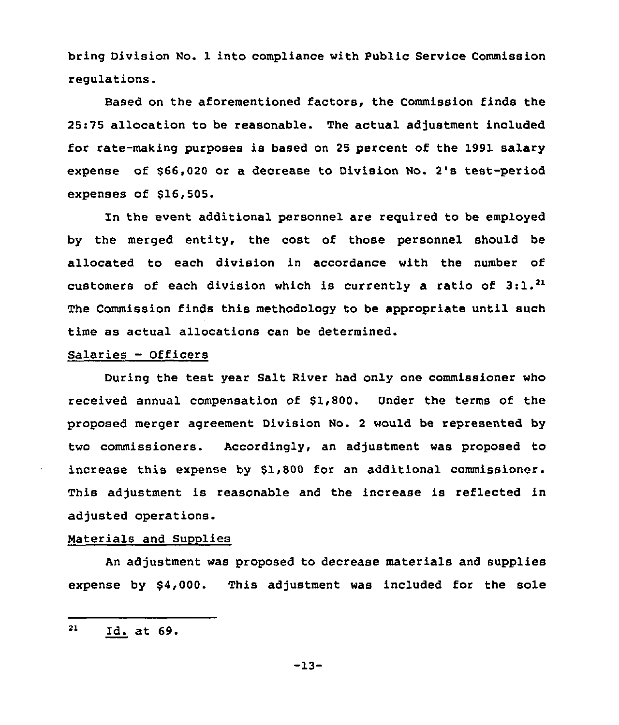bring Division No. 1 into compliance with Public Service Commission regulations.

Based on the aforementioned factors, the Commission finds the 25:75 allocation to be reasonable. The actual adjustment included for rate-making purposes is based on <sup>25</sup> percent of the 1991 salary expense of \$66,020 or a decrease to Division No. 2's test-period expenses of \$16,505.

In the event additional personnel are reguired to be employed by the merged entity, the cost of those personnel should be allocated to each division in accordance with the number of customers of each division which is currently a ratio of  $3:1.^{21}$ Commission finds this methodology to be appropriate until such time as actual allocations can be determined.

## Salaries - Officers

During the test year Salt River had only one commissioner who received annual compensation of \$1,800. Under the terms of the proposed merger agreement Division No. 2 would be represented by two commissioners. Accordingly, an adjustment was proposed to increase this expense by \$1,800 for an additional commissioner. This adjustment is reasonable and the increase is reflected in adjusted operations.

## Naterials and Supplies

An adjustment was proposed to decrease materials and supplies expense by \$4,000. This adjustment was included for the sole

-13-

<sup>21</sup> Id. at 69.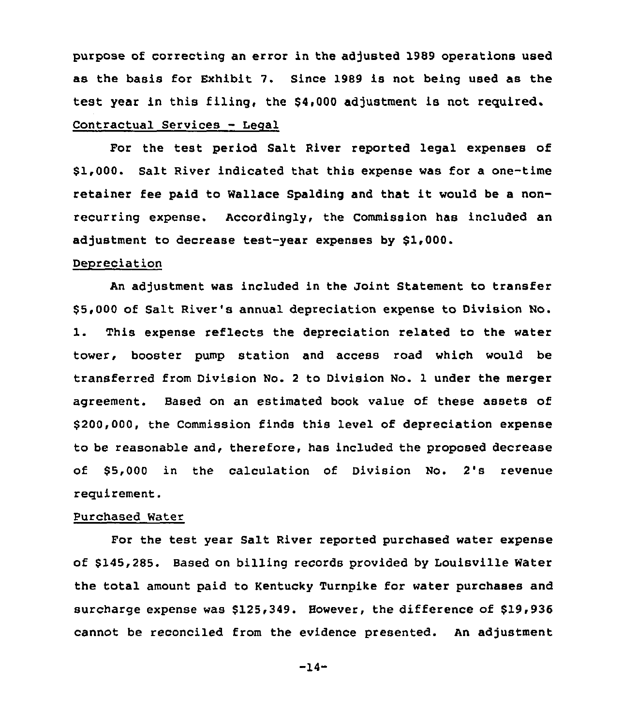purpose of correcting an error in the adjusted 1989 operations used as the basis for Exhibit 7. Since 1989 is not being used as the test year in this filing, the \$4,000 adjustment is not required.

# Contractual Services — Legal

For the test period Salt River reported legal expenses of \$1,000. Salt River indicated that this expense was for a one-time retainer fee paid to Wallace Spalding and that it would be <sup>a</sup> nonrecurring expense. Accordingly, the Commission has included an adjustment to decrease test-year expenses by \$1,000.

### Depreciation

An adjustment was included in the Joint Statement to transfer \$ 5,000 of Salt River's annual depreciation expense to Division No. 1. This expense reflects the depreciation related to the water tower, booster pump station and access road which would be transferred from Division No. 2 to Division No. 1 under the merger agreement. Based on an estimated book value of these assets of \$200,000, the Commission finds this level of depreciation expense to be reasonable and, therefore, has included the proposed decrease of \$5,000 in the calculation of Division No. 2's revenue requirement.

## Purchased Water

For the test year Salt River reported purchased water expense of \$145,285. Based on billing records provided by Louisville Water the total amount paid to Kentucky Turnpike for water purchases and surcharge expense was \$125,349. However, the difference of \$19,936 cannot be reconciled from the evidence presented. An adjustment

-14-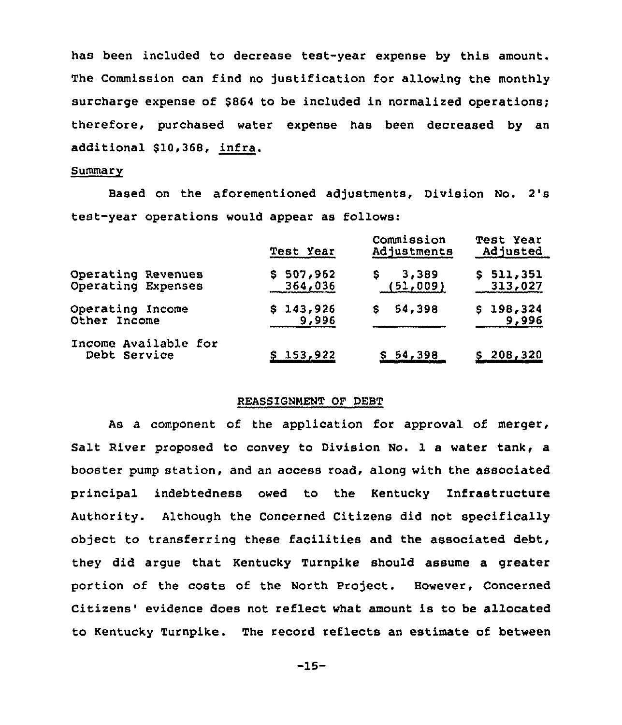has been included to decrease test-year expense by this amount. The Commission can find no justification for allowing the monthly surcharge expense of \$864 to be included in normalized operations; therefore, purchased water expense has been decreased by an additional \$10,368, infra.

### **Summary**

Based on the aforementioned adjustments, Division No. 2's test-year operations would appear as follows:

|                                      | Test Year | Commission<br>Adjustments | Test Year<br>Adjusted |  |  |
|--------------------------------------|-----------|---------------------------|-----------------------|--|--|
| Operating Revenues                   | \$507.962 | 3,389                     | \$511,351             |  |  |
| Operating Expenses                   | 364,036   | (51,009)                  | 313,027               |  |  |
| Operating Income                     | \$143,926 | 54,398                    | \$198,324             |  |  |
| Other Income                         | 9,996     | s                         | 9,996                 |  |  |
| Income Available for<br>Debt Service | S 153,922 | <u>\$54,398</u>           | <u>s 208,320</u>      |  |  |

#### REASSIGNMENT OF DEBT

As a component of the application for approval of merger, Salt River proposed to convey to Division No. 1 a water tank, a booster pump station, and an access road, along with the associated principal indebtedness owed to the Kentucky Infrastructure Authority. Although the Concerned Citizens did not specifically object to transferring these facilities and the associated debt, they did argue that Kentucky Turnpike should assume a greater portion of the costs of the North Project. However, Concerned Citizens' evidence does not reflect what amount is to be allocated to Kentucky Turnpike . The record reflects an estimate of between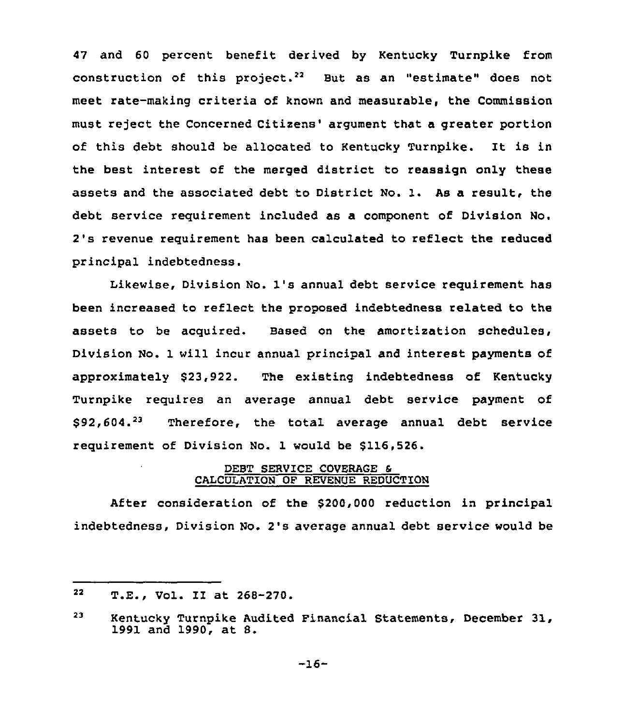47 and 60 percent benefit derived by Kentucky Turnpike from construction of this project.<sup>22</sup> But as an "estimate" does not meet rate-making criteria of known and measurable, the Commission must reject the Concerned Citizens' argument that a greater portion of this debt should be allocated to Kentucky Turnpike. It is in the best interest of the merged district to reassign only these assets and the associated debt to District No. 1. As a result, the debt service requirement included as a component of Division No. 2's revenue requirement has been calculated to reflect the reduced principal indebtedness.

Likewise, Division No. 1's annual debt service requirement has been increased to reflect the proposed indebtedness related to the assets to be acquired. Based on the amortization schedules, Division No. 1 will incur annual principal and interest payments of approximately \$23,922. The existing indebtedness of Kentucky Turnpike requires an average annual debt service payment of  $$92,604.<sup>23</sup>$  Therefore, the total average annual debt service requirement of Division No. 1 would be \$116,526.

## DEBT SERVICE COVERAGE 6 CALCULATION OF REVENUE REDUCTION

After consideration of the \$200,000 reduction in principal indebtedness, Division No. 2's average annual debt service would be

<sup>22</sup> T.E., Vol. II at 268-270.

<sup>23</sup> Kentucky Turnpike Audited Financial Statements, December 31, 1991 and 1990, at 8.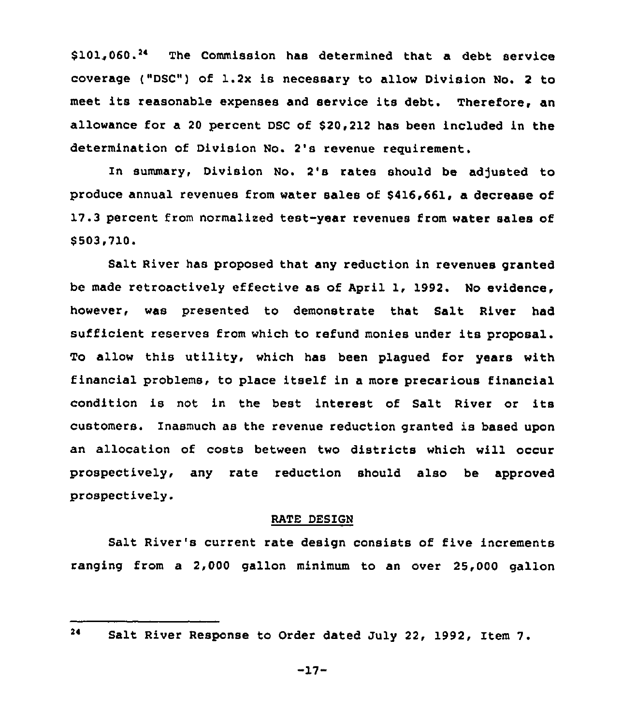s101.060.<sup>24</sup> The Commission has determined that a debt service coverage {"DSC") of 1.2x is necessary to allow Division No. <sup>2</sup> to meet its reasonable expenses and service its debt. Therefore, an allowance for a 20 percent DSC of \$20,212 has been included in the determination of Division No. 2's revenue requirement.

In summary, Division No. 2's rates should be adjusted to produce annual revenues from water sales of \$416,661, a decrease of 17.3 percent from normalized test-year revenues from water sales of \$ 503,710.

Salt River has proposed that any reduction in revenues granted be made retroactively effective as of April 1, 1992. No evidence, however, was presented to demonstrate that Salt River had sufficient reserves from which to refund monies under its proposal. To allow this utility, which has been plagued for years with financial problems, to place itself in a more precarious financial condition is not in the best interest of Salt River or its customers. Inasmuch as the revenue reduction granted is based upon an allocation of costs between two districts which will occur prospectively, any rate reduction should also be approved prospectively.

## RATE DESIGN

Salt River's current rate design consists of five increments ranging from a 2,000 gallon minimum to an over 25,000 gallon

 $-17-$ 

 $24$ Salt River Response to Order dated July 22, 1992, Item 7.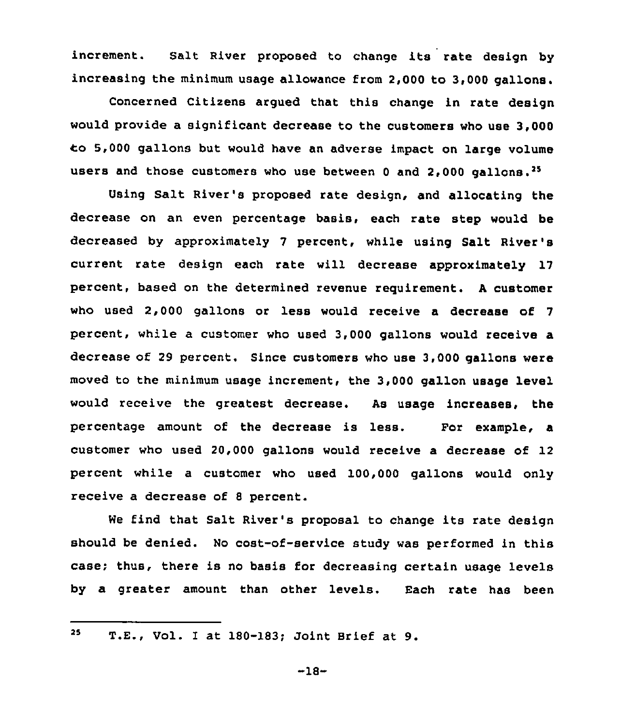increment. Salt River proposed to change its rate design by increasing the minimum usage allowance from 2,000 to 3,000 gallons.

Concerned Citizens argued that this change in rate design would provide a significant decrease to the customers who use 3,000 Co 5,000 gallons but would have an adverse impact on large volume users and those customers who use between 0 and 2,000 gallons.<sup>25</sup>

Using Salt River's proposed rate design, and allocating the decrease on an even percentage basis, each rate step would be decreased by approximately 7 percent, while using Salt River's current rate design each rate will decrease approximately 17 percent, based on the determined revenue requirement. <sup>A</sup> customer who used 2,000 gallons or less would receive a decrease of 7 percent, while a customer who used 3,000 gallons would receive a decrease of 29 percent. Since customers who use 3,000 gallons were moved to the minimum usage increment, the 3,000 gallon usage level would receive the greatest decrease. As usage increases, the percentage amount of the decrease is less. For example, a customer who used 20,000 gallons would receive a decrease of 12 percent while a customer who used 100,000 gallons would only receive a decrease of 8 percent.

We find that Salt River's proposal to change its rate design should be denied. No cost-of-service study was performed in this case; thus, there is no basis for decreasing certain usage levels by a greater amount than other levels. Each rate has been

25 T.E., Vol. I at 180-183; Joint Brief at 9.

-18-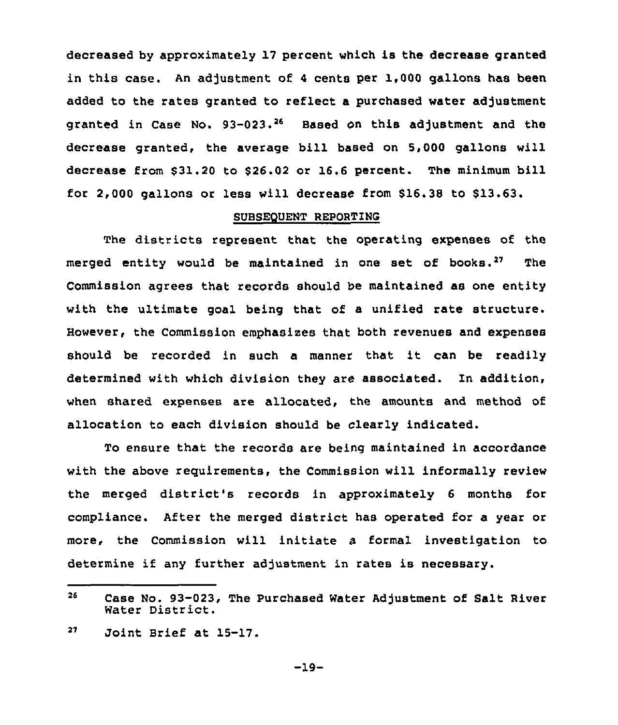decreased by approximately 17 percent which is the decrease granted in this case. An adjustment of <sup>4</sup> cents per 1,000 gallons has been added to the rates granted to reflect a purchased water adjustment granted in Case No.  $93-023.^{26}$  Based on this adjustment and the decrease granted, the average bill based on 5,000 gallons will decrease from \$31.20 to \$26.02 or 16.6 percent. The minimum bill for 2,000 gallons or less will decrease from 616.38 to \$13.63.

### SUBSEQUENT REPORTING

The districts represent that the operating expenses of the merged entity would be maintained in one set of books.<sup>27</sup> The Commission agrees that records should be maintained as one entity with the ultimate goal being that of a unified rate structure. However, the Commission emphasizes that both revenues and expenses should be recorded in such <sup>a</sup> manner that it can be readily determined with which division they are associated. In addition, when shared expenses are allocated, the amounts and method of allocation to each division should be clearly indicated.

To ensure that the records are being maintained in accordance with the above reguirements, the Commission will informally review the merged district's records in approximately <sup>6</sup> months for compliance. After the merged district has operated for a year or more, the Commission will initiate a formal investigation to determine if any further adjustment in rates is necessary.

<sup>26</sup> Case No. 93-023, The Purchased Water Adjustment of Salt River Water District.

 $27<sub>2</sub>$ Joint Brief at 15-17.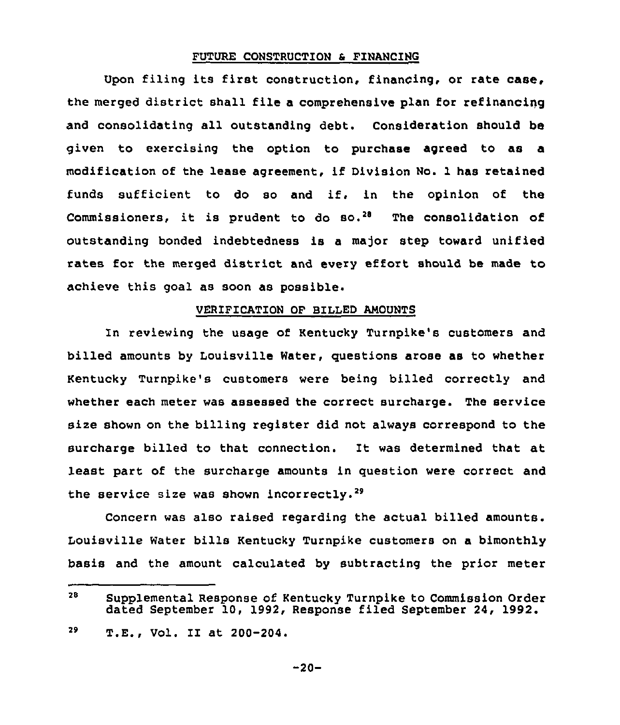### FUTURE CONSTRUCTION 6 FINANCING

Upon filing its first construction, financing, or rate case, the merged district shall file a comprehensive plan for refinancing and consolidating all outstanding debt. Consideration should be given to exercising the option to purchase agreed to as a modification of the lease agreement, if Division No. 1 has retained funds sufficient to do so and if, in the opinion of the Commissioners, it is prudent to do so.<sup>28</sup> The consolidation of outstanding bonded indebtedness is a major step toward unified rates for the merged district and every effort should be made to achieve this goal as soon as possible.

### VERIFICATION OF BILLED AMOUNTS

In reviewing the usage of Kentucky Turnpike's customers and billed amounts by Louisville Water, questions arose as to whether Kentucky Turnpike's customers were being billed correctly and whether each meter was assessed the correct surcharge. The service size shown on the billing register did not always correspond to the surcharge billed to that connection. It was determined that at least part of the surcharge amounts in question were correct and the service size was shown incorrectly.<sup>29</sup>

Concern was also raised regarding the actual billed amounts. Louisville Water bills Kentucky Turnpike customers on a bimonthly basis and the amount calculated by subtracting the prior meter

<sup>28</sup> Supplemental Response of Kentucky Turnpike to Commission Order dated September 10, 1992, Response filed September 24, 1992.

<sup>29</sup> T.E., Vol. II at 200-204.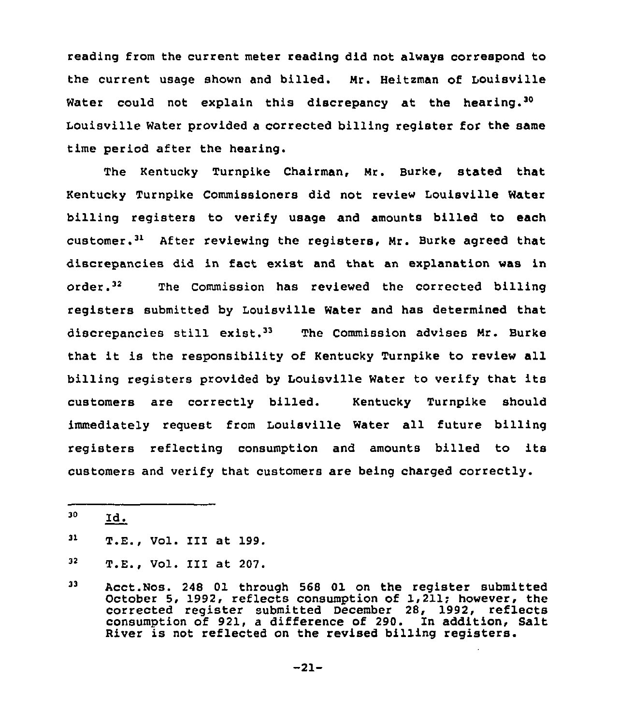reading from the current meter reading did not always correspond to the current usage shown and billed. Nr. Heitzman of Louisville Water could not explain this discrepancy at the hearing.<sup>30</sup> Water provided a corrected billing register for the same time period after the hearing.

The Kentucky Turnpike Chairman, Nr. Burke, stated that Kentucky Turnpike Commissioners did not review Louisville Water billing registers to verify usage and amounts billed to each customer. $<sup>31</sup>$  After reviewing the registers, Mr. Burke agreed that</sup> discrepancies did in fact exist and that an explanation was in order.<sup>32</sup> The Commission has reviewed the corrected billing registers submitted by Louisville Water and has determined that discrepancies still exist.<sup>33</sup> The Commission advises Mr. Burke that it is the responsibility of Kentucky Turnpike to review all billing registers provided by Louisville Water to verify that its customers are correctly billed. Kentucky Turnpike should immediately request from Louisville Water all future billing registers reflecting consumption and amounts billed to its customers and verify that customers are being charged correctly.

<sup>30</sup> Id.

<sup>31</sup> T.E., Vol. III at 199.

<sup>32</sup> T.E., Vol. III at 207.

<sup>33</sup> Acct.Nos. 248 01 through 568 01 on the reqister submitted October 5, 1992, reflects consumption of 1,211; however, the corrected reqister submitted December 28, 1992, reflects consumption of 921, a difference of 290. In addition, Salt River is not reflected on the revised billing registers.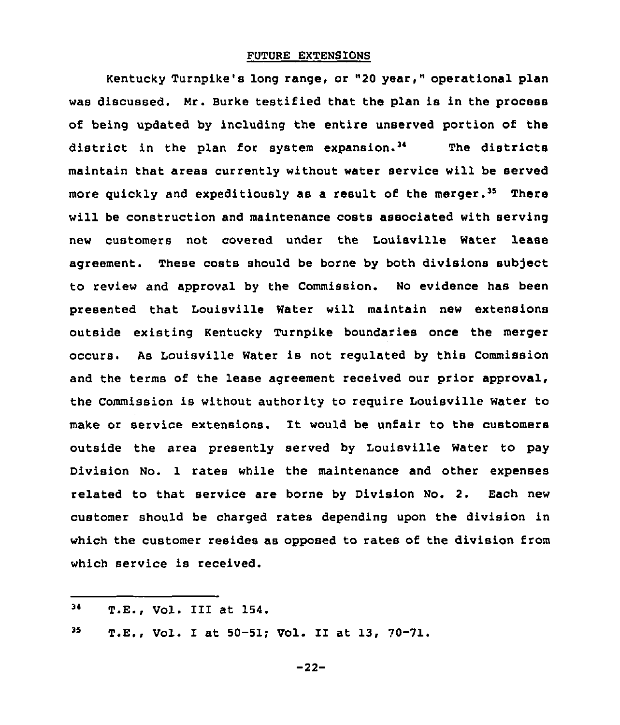### FUTURE EXTENSIONS

Kentucky Turnpike's long range, or "20 year," operational plan was discussed. Nr. Surke testified that the plan is in the process of being updated by including the entire unserved portion of the district in the plan for system expansion.<sup>34</sup> The districts maintain that areas currently without water service will be served more quickly and expeditiously as a result of the merger.<sup>35</sup> There will be construction and maintenance costs associated with serving new customers not covered under the Louisville Water lease agreement. These costs should be borne by both divisions subject to review and approval by the Commission. No evidence has been presented that Louisville Water will maintain new extensions outside existing Kentucky Turnpike boundaries once the merger occurs. As Louisville Water is not regulated by this Commission and the terms of the lease agreement received our prior approval, the Commission is without authority to require Louisville Water to make or service extensions. It would be unfair to the customers outside the area presently served by Louisville Water to pay Division No. 1 rates while the maintenance and other expenses related to that service are borne by Division No. 2. Each new customer should be charged rates depending upon the division in which the customer resides as opposed to rates of the division from which service is received.

<sup>34</sup> T.E., Vol. III at 154.

 $35<sub>1</sub>$ T.E., Vol. I at 50-51; Vol. II at 13, 70-71.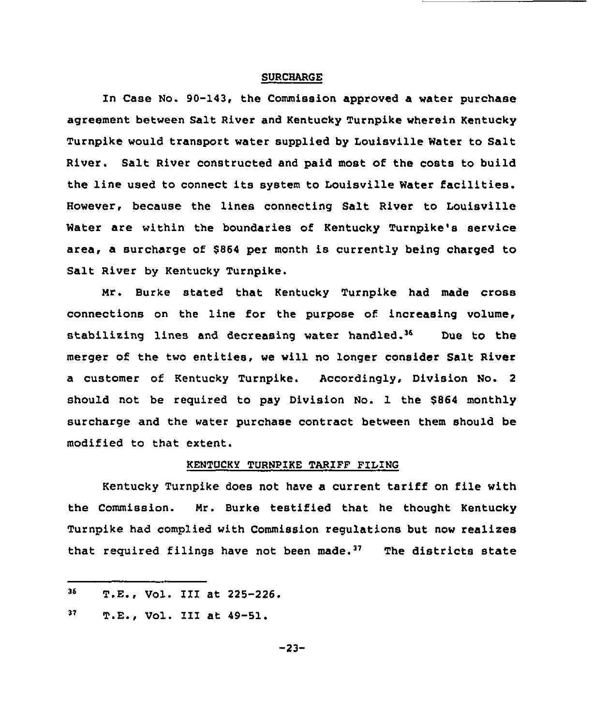### **SURCHARGE**

In Case No. 90-143, the Commission approved a water purchase agreement between Salt River and Kentucky Turnpike wherein Kentucky Turnpike would transport water supplied by Louisville Water to Salt River. Salt River constructed and paid most of the costs to build the line used to connect its system to Louisville Water facilities. However, because the lines connecting Salt River to Louisville Water are within the boundaries of Kentucky Turnpike's service area, a surcharge of \$<sup>864</sup> per month is currently being charged to Salt River by Kentucky Turnpike.

Mr. Burke stated that Kentucky Turnpike had made cross connections on the line for the purpose of. increasing volume, stabilizing lines and decreasing water handled.<sup>36</sup> Due to the merger of the two entities, we will no longer consider Salt River a customer of Kentucky Turnpike. Accordingly, Division No. 2 should not be required to pay Division No. 1 the \$864 monthly surcharge and the water purchase contract between them should be modified to that extent.

#### KENTUCKY TURNPIKE TARIFF PILING

Kentucky Turnpike does not have a current tariff on file with the Commission. Mr. Burke testified that he thought Kentucky Turnpike had complied with Commission regulations but now xealises rurnpike had complied with Commission regulations but now realizer<br>that required filings have not been made.<sup>37</sup> The districts state

 $36<sub>1</sub>$ T.E., Vol. III at 225-226.

 $37<sub>z</sub>$ T.E., Vol. III at 49-51.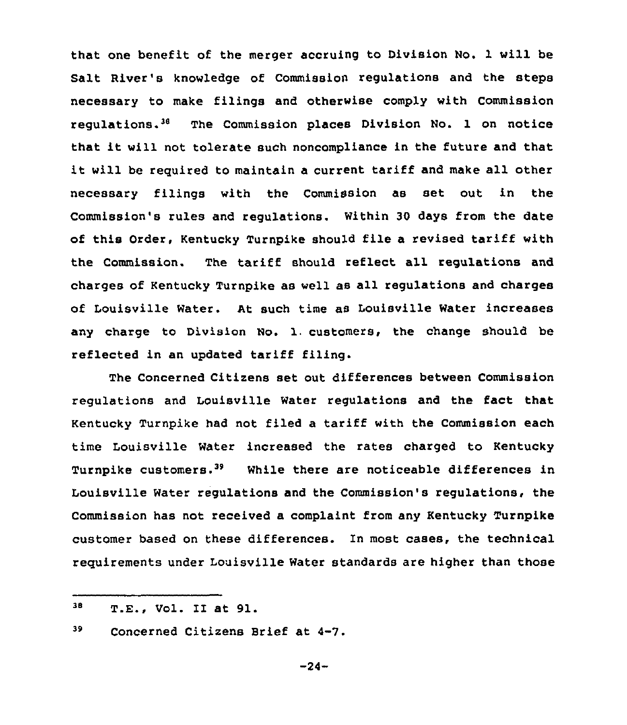that one benefit of the merger accruing to Division No. 1 will be Salt River's knowledge of Commission regulations and the steps necessary to make filings and otherwise comply with Commission regulations.'8 The Commission places Division No. 1 on notice that it will not tolerate such noncompliance in the future and that it will be required to maintain <sup>a</sup> current tariff and make all other necessary filings with the Commission as set out in the Commission's rules and regulations. Within 30 days from the date of this Order, Kentucky Turnpike should file a revised tariff with the Commission. The tariff should reflect all regulations and charges of Kentucky Turnpike as well as all regulations and charges of Louisville Water. At such time as Louisville Water increases any charge to Division No. 1. customers, the change should be reflected in an updated tariff filing.

The Concerned Citizens set out differences between Commission regulations and Louisville Water regulations and the fact that Kentucky Turnpike had not filed a tariff with the Commission each time Louisville Water increased the rates charged to Kentucky Turnpike customers.<sup>39</sup> While there are noticeable differences in Louisville Water regulations and the Commission's regulations, the Commission has not received a complaint from any Kentucky Turnpike customer based on these differences. In most cases, the technical requirements under Louisville Water standards are higher than those

<sup>38</sup> T.E., Vol. II at 91.

<sup>39</sup> Concerned Citizens Brief at 4-7.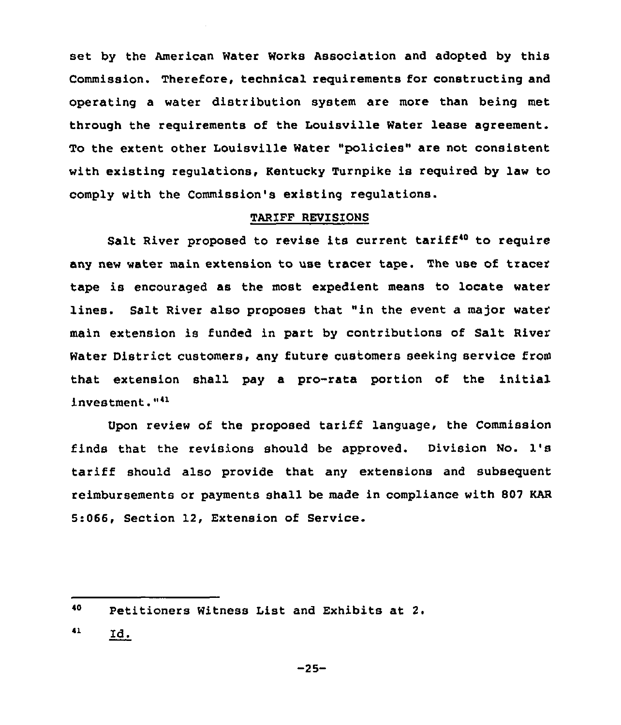set by the American Water Works Association and adopted by this Commission. Therefore, technical requirements for constructing and operating a water distribution system are more than being met through the requirements of the Louisville Water lease agreement. To the extent other Louisville Water "policies" are not consistent with existing regulations, Kentucky Turnpike is required by law to comply with the Commission's existing regulations.

### TARIFF REVISIONS

Salt River proposed to revise its current tariff<sup>40</sup> to require any new water main extension to use tracer tape. The use of tracer tape is encouraged as the most expedient means to locate water lines. Salt River also proposes that "in the event a major water main extension is funded in part by contributions of Salt River Water District customers, any future customers seeking service from that extension shall pay a pro-rata portion of the initial investment."<sup>41</sup>

Upon review of the proposed tariff language, the Commission finds that the revisions should be approved. Division No. 1's tariff should also provide that any extensions and subsequent reimbursements or payments shall be made in compliance with 807 KAR 5:066, Section 12, Extension of Service.

41 Id.

<sup>40</sup> Petitioners Witness List and Exhibits at 2.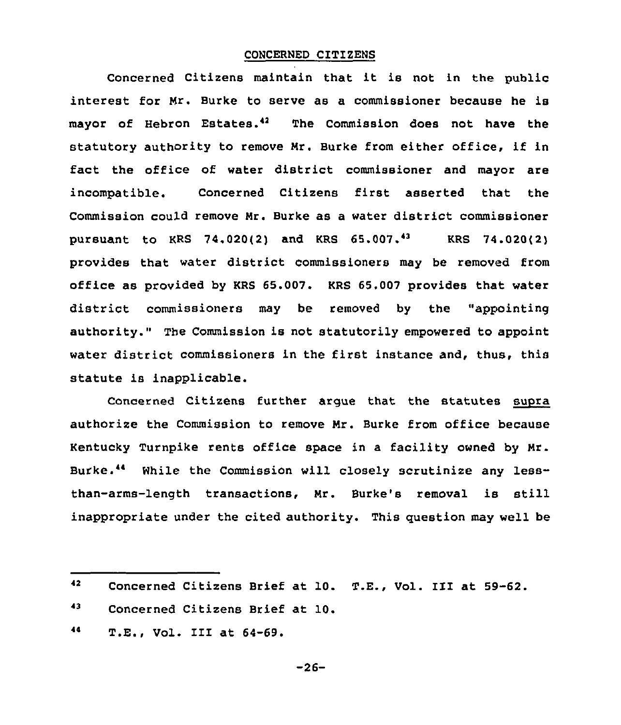### CONCERNED CITIZENS

Concerned Citizens maintain that it is not in the public interest for Mr. Burke to serve as a commissioner because he is mayor of Hebron Estates." The Commission does not have the statutory authority to remove Mr. Burke from either office, if in fact the office of water district commissioner and mayor are incompatible. Concerned Citizens first asserted that the Commission could remove Mr. Burke as a water district commissioner pursuant to KRS 74.020(2) and KRS  $65.007.^{43}$  KRS 74.020(2) provides that water district commissioners may be removed from office as provided by KRS 65,007. KRS 65,007 provides that water district commissioners may be removed by the "appointing authority." The Commission is not statutorily empowered to appoint water district commissioners in the first instance and, thus, this statute is inapplicable.

Concerned Citizens further argue that the statutes supra authorize the Commission to remove Mr. Burke from office because Kentucky Turnpike rents office space in a facility owned by Mr. Burke.<sup>44</sup> While the Commission will closely scrutinize any lessthan-arms-length transactions, Mr. Burke's removal is still inappropriate under the cited authority. This question may well be

43 Concerned Citizens Brief at 10.

 $42<sub>2</sub>$ Concerned Citizens Brief at 10. T.E., Vol. III at 59-62.

<sup>44</sup> T.E., Vol. III at 64-69.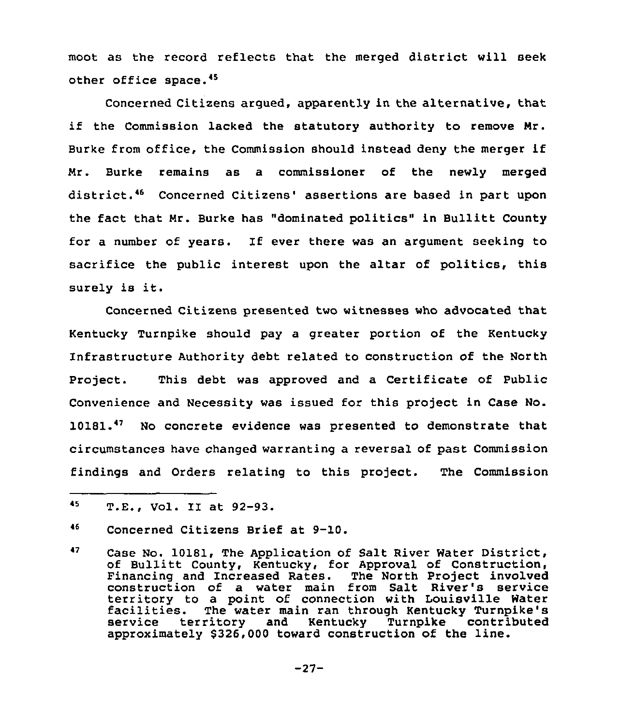moot as the record reflects that the merged district will seek other office space.<sup>45</sup>

Concerned Citizens argued, apparently in the alternative, that if the Commission lacked the statutory authority to remove Mr. Burke from office, the Commission should instead deny the merger if Mr. Burke remains as a commissioner of the newly merged district.<sup>46</sup> Concerned Citizens' assertions are based in part upon the fact that Mr. Burke has "dominated politics" in Bullitt County for <sup>a</sup> number of years. If ever there was an argument seeking to sacrifice the public interest upon the altar of politics, this surely is it.

Concerned Citizens presented two witnesses who advocated that Kentucky Turnpike should pay a greater portion of the Kentucky Infrastructure Authority debt related to construction of the North Project. This debt was approved and a Certificate of Public Convenience and Necessity was issued for this project in Case No. 10181.<sup>47</sup> No concrete evidence was presented to demonstrate that circumstances have changed warranting a reversal of past Commission findings and Orders relating to this project. The Commission

<sup>45</sup> T.E., Vol. II at 92-93.

<sup>~</sup>6 Concerned Citizens Brief at 9-10.

<sup>47</sup> Case No. 10181, The Application of Salt River Water District, of Bullitt County, Kentucky, for Approval of Construction, Financing and Increased Rates. The North Project involved construction of a water main from Salt River's service territory to a point of connection with Louisville Water<br>facilities. The water main ran through Kentucky Turnpike's<br>service territory and Kentucky Turnpike contributed service territory and Kentucky Turnpike contribute approximately \$326,000 toward construction of the line.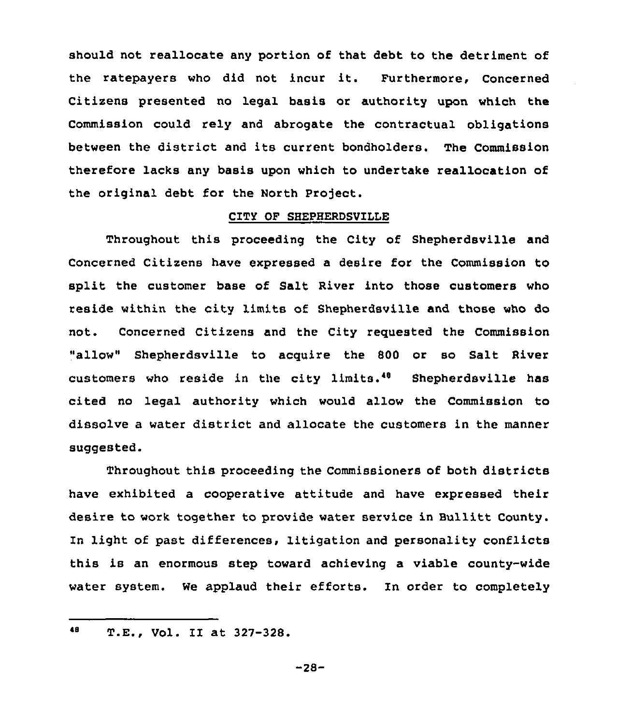should not reallocate any portion of that debt to the detriment of the ratepayers who did not incur it. Furthermore, Concerned Citizens presented no legal basis or authority upon which the Commission could rely and abrogate the contractual obligations between the district and its current bondholders. The Commission therefore lacks any basis upon which to undertake reallocation of the original debt for the North Project.

### CITY OF SHEPHERDSVILLE

Throughout this proceeding the City of Shepherdsville and Concerned Citizens have expressed a desire for the Commission to split the customer base of Salt River into those customers who reside within the city limits of Shepherdsville and those who do not. Concerned Citizens and the City requested the Commission "allow" Shepherdsville to acquire the 800 or so Salt River customers who reside in the city limits." Shepherdsville has cited no legal authority which would allow the Commission to dissolve a water district and allocate the customers in the manner suggested.

Throughout this proceeding the Commissioners of both districts have exhibited a cooperative attitude and have expressed their desire to work together to provide water service in Bullitt County. In light of past differences, litigation and personality conflicts this is an enormous step toward achieving a viable county-wide water system. We applaud their efforts. In order to completely

<sup>48</sup> T.E., Vol. II at 327-328.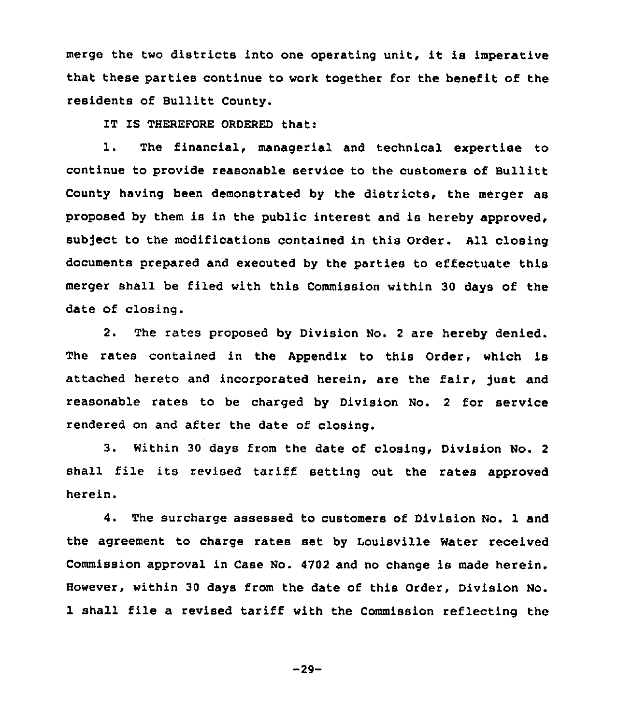merge the two districts into one operating unit, it is imperative that these parties continue to work together for the benefit of the residents of Bullitt County.

IT IS THEREFORE ORDERED that:

1. The financial, managerial and technical expertise to continue to provide reasonable service to the customers of Bullitt County having been demonstrated by the districts, the merger as proposed by them is in the public interest and is hereby approved, subject to the modifications contained in this Order. All closing documents prepared and executed by the parties to effectuate this merger shall be filed with this Commission within 30 days of the date of closing.

2. The rates proposed by Division No. <sup>2</sup> are hereby denied. The rates contained in the Appendix to this Order, which is attached hereto and incorporated herein, are the fair, just and reasonable rates to be charged by Division No. <sup>2</sup> for service rendered on and after the date of closing.

3. Within <sup>30</sup> days from the date of closing, Division No. <sup>2</sup> shall file its revised tariff setting out the rates approved herein.

4. The surcharge assessed to customers of Division No. 1 and the agreement to charge rates set by Louisville Water received Commission approval in Case No. 4702 and no change is made herein. However, within 30 days from the date of this Order, Division No. 1 shall file a revised tariff with the Commission reflecting the

 $-29-$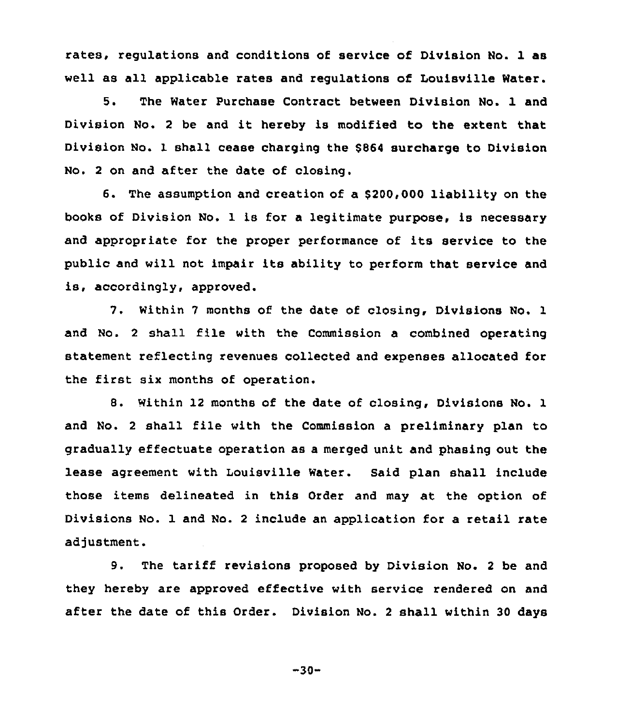rates, regulations and conditions of service of Division No. 1 as well as all applicable rates and regulations of Louisville Water.

5. The Water Purchase Contract between Division No. 1 and Division No. <sup>2</sup> be and it hereby is modified to the extent that Diviaion No. 1 shall cease charging the \$864 surcharge to Division No. <sup>2</sup> on and after the date of closing.

6. The assumption and creation of a \$200,000 liability on the books of Division No. 1 is for a legitimate purpose, is necessary and appropriate for the proper performance of its service to the public and will not impair its ability to perform that service and is, accordingly, approved.

7. Within <sup>7</sup> months of the date of closing, Divisions No. 1 and No. <sup>2</sup> shall file with the Commission a combined operating statement reflecting revenues collected and expenses allocated for the first six months of operation.

8. Within 12 months of the date of closing, Divisions No. 1 and No. <sup>2</sup> shall file with the Commission a preliminary plan to gradually effectuate operation as a merged unit and phasing out the lease agreement with Louisville Water. Said plan shall include those items delineated in this Order and may at the option of Divisions No. 1 and No. <sup>2</sup> include an application for a retail rate adjustment.

9. The tariff revisions proposed by Division No. <sup>2</sup> be and they hereby are approved effective with service rendered on and after the date of this Order. Division No. 2 shall within 30 days

 $-30-$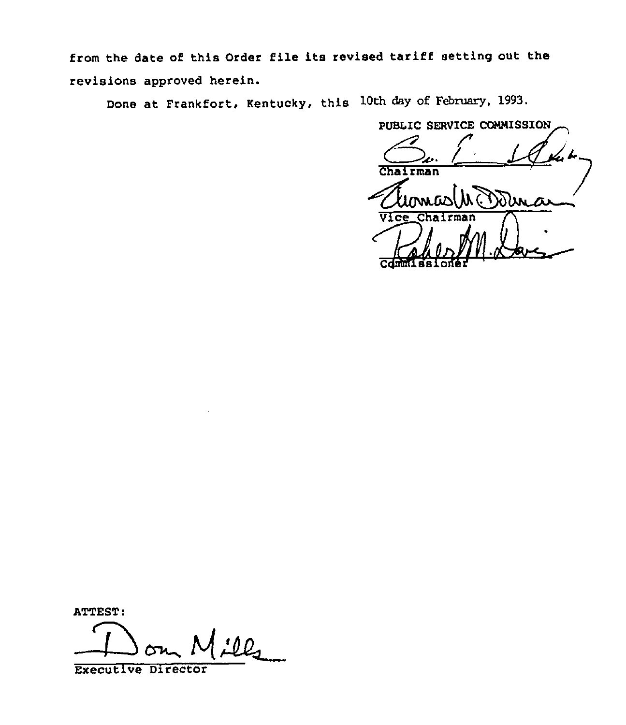from the date of this Order file its revised tariff setting out the revisions approved herein.

Done at Frankfort, Kentucky, this 10th day of February, 1993.

SE<br>2...<br>1an PUBLIC SERVICE COMMISSION  $\sqrt{2}$ Chairman Vice Chairman Cdmmlssione

ATTEST:

 $\mathcal{L}_{\mathcal{L}}$  $\rightarrow$ 

Executive Director